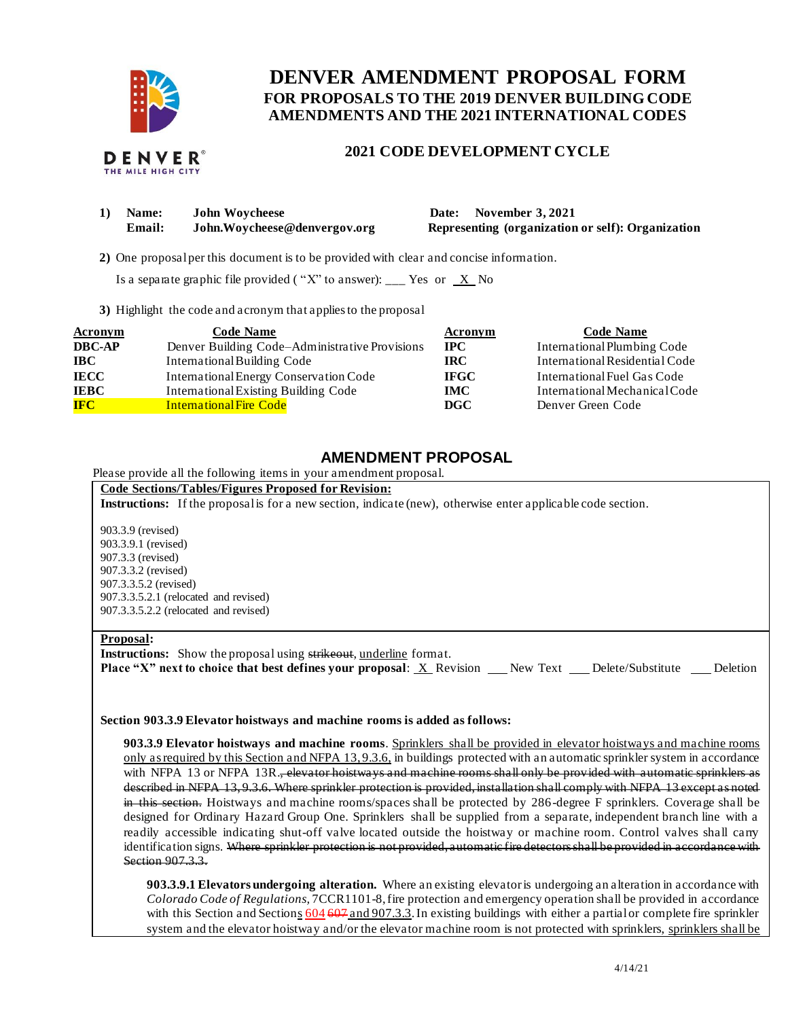

THE MILE HIGH CITY

# **FOR PROPOSALS TO THE 2019 DENVER BUILDING CODE DENVER AMENDMENT PROPOSAL FORM AMENDMENTS AND THE 2021 INTERNATIONAL CODES**

## **2021 CODE DEVELOPMENT CYCLE**

| 1) | <b>Name:</b> | <b>John Woycheese</b>        |
|----|--------------|------------------------------|
|    | Email:       | John.Woycheese@denvergov.org |

Date: November 3, 2021 **Representing (organization or self): Organization** 

**2)** One proposalper this document is to be provided with clear and concise information.

Is a separate graphic file provided ("X" to answer): \_\_\_ Yes or  $X$  No

**3)** Highlight the code and acronym that applies to the proposal

| <b>Acronym</b> | <b>Code Name</b>                               | <b>Acronym</b> | <b>Code Name</b>               |
|----------------|------------------------------------------------|----------------|--------------------------------|
| <b>DBC-AP</b>  | Denver Building Code-Administrative Provisions | <b>IPC</b>     | International Plumbing Code    |
| <b>IBC</b>     | International Building Code                    | <b>IRC</b>     | International Residential Code |
| <b>IECC</b>    | International Energy Conservation Code         | <b>IFGC</b>    | International Fuel Gas Code    |
| <b>IEBC</b>    | <b>International Existing Building Code</b>    | IMC            | International Mechanical Code  |
| <b>IFC</b>     | <b>International Fire Code</b>                 | DGC            | Denver Green Code              |

## **AMENDMENT PROPOSAL**

Please provide all the following items in your amendment proposal.

#### **Code Sections/Tables/Figures Proposed for Revision:**

**Instructions:** If the proposal is for a new section, indicate (new), otherwise enter applicable code section.

903.3.9 (revised) 903.3.9.1 (revised) 907.3.3 (revised) 907.3.3.2 (revised) 907.3.3.5.2 (revised) 907.3.3.5.2.1 (relocated and revised) 907.3.3.5.2.2 (relocated and revised)

#### **Proposal:**

**Instructions:** Show the proposal using strikeout, underline format.

**Place "X" next to choice that best defines your proposal: X Revision New Text Delete/Substitute Deletion** 

#### **Section 903.3.9 Elevator hoistways and machine rooms is added as follows:**

 **903.3.9 Elevator hoistways and machine rooms**. Sprinklers shall be provided in elevator hoistways and machine rooms only as required by this Section and NFPA 13,9.3.6, in buildings protected with an automatic sprinkler system in accordance with NFPA 13 or NFPA 13R.<del>, elevator hoistways and machine rooms shall only be provided with automatic sprinklers as</del> described in NFPA 13, 9.3.6. Where sprinkler protection is provided, installation shall comply with NFPA 13 except as noted in this section. Hoistways and machine rooms/spaces shall be protected by 286-degree F sprinklers. Coverage shall be designed for Ordinary Hazard Group One. Sprinklers shall be supplied from a separate, independent branch line with a readily accessible indicating shut-off valve located outside the hoistway or machine room. Control valves shall carry identification signs. Where sprinkler protection is not provided, automatic fire detectors shall be provided in accordance with Section 907.3.3.

 **903.3.9.1 Elevators undergoing alteration.** Where an existing elevator is undergoing an alteration in accordance with  *Colorado Code of Regulations,* 7CCR1101-8, fire protection and emergency operation shall be provided in accordance with this Section and Sections 604 607 and 907.3.3. In existing buildings with either a partial or complete fire sprinkler system and the elevator hoistway and/or the elevator machine room is not protected with sprinklers, sprinklers shall be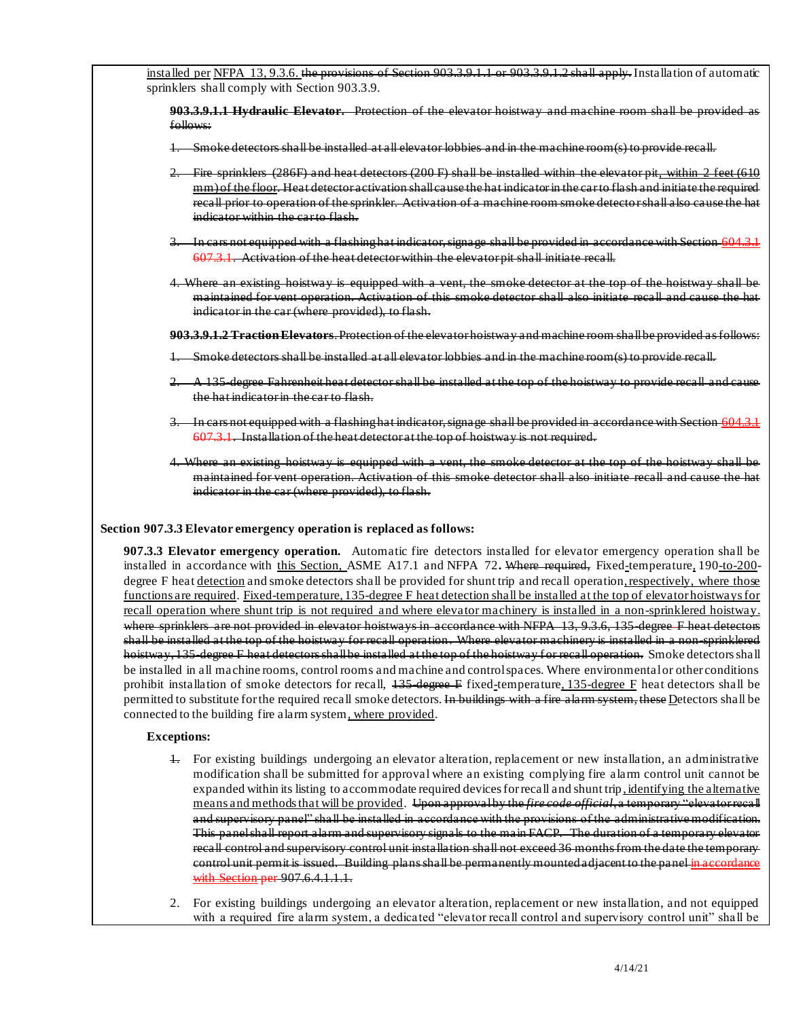installed per NFPA 13, 9.3.6. the provisions of Section 903.3.9.1.1 or 903.3.9.1.2 shall apply. Installation of automatic sprinklers shall comply with Section 903.3.9.

 **903.3.9.1.1 Hydraulic Elevator.** Protection of the elevator hoistway and machine room shall be provided as follows:

- 1. Smoke detectors shall be installed at all elevator lobbies and in the machine room(s) to provide recall.
- 2. Fire sprinklers (286F) and heat detectors (200 F) shall be installed within the elevator pit<u>, within 2 feet (610</u> mm) of the floor. Heat detector activation shallcause the hat indicator in the car to flash and initiate the required recall prior to operation of the sprinkler. Activation of a machine room smoke detecto r shall also cause the hat indicator within the car to flash.
- 3. In cars not equipped with a flashing hat indicator, signage shall be provided in accordance with Section 604.3.1 607.3.1. Activation of the heat detector within the elevator pit shall initiate recall.
- 4. Where an existing hoistway is equipped with a vent, the smoke detector at the top of the hoistway shall be maintained for vent operation. Activation of this smoke detector shall also initiate recall and cause the hat indicator in the car (where provided), to flash.

 **903.3.9.1.2 Traction Elevators**. Protection of the elevator hoistway and machine room shallbe provided as follows:

- 1. Smoke detectors shall be installed at all elevator lobbies and in the machine room(s) to provide recall.
- 2. A 135-degree Fahrenheit heat detector shall be installed at the top of the hoistway to provide recall and cause the hat indicator in the car to flash.
- 3. In cars not equipped with a flashing hat indicator, signage shall be provided in accordance with Section 604.3.1 607.3.1. Installation of the heat detector at the top of hoistway is not required.
- 4. Where an existing hoistway is equipped with a vent, the smoke detector at the top of the hoistway shall be maintained for vent operation. Activation of this smoke detector shall also initiate recall and cause the hat indicator in the car (where provided), to flash.

#### **Section 907.3.3 Elevator emergency operation is replaced as follows:**

 **907.3.3 Elevator emergency operation.** Automatic fire detectors installed for elevator emergency operation shall be installed in accordance with this Section, ASME A17.1 and NFPA 72**.** Where required, Fixed-temperature, 190-to-200 degree F heat detection and smoke detectors shall be provided for shunt trip and recall operation, respectively, where those functions are required. Fixed-temperature, 135-degree F heat detection shall be installed at the top of elevator hoistways for recall operation where shunt trip is not required and where elevator machinery is installed in a non-sprinklered hoistway. where sprinklers are not provided in elevator hoistways in accordance with NFPA 13, 9.3.6, 135-degree F heat detectors shall be installed at the top of the hoistway for recall operation. Where elevator machinery is installed in a non-sprinklered hoistway, 135-degree F heat detectors shall be installed at the top of the hoistway for recall operation. Smoke detectors shall be installed in all machine rooms, control rooms and machine and controlspaces. Where environmentalor other conditions prohibit installation of smoke detectors for recall, 135-degree F fixed-temperature, 135-degree F heat detectors shall be permitted to substitute for the required recall smoke detectors. <del>In buildings with a fire alarm system, these</del> Detectors shall be connected to the building fire alarm system, where provided.

#### **Exceptions:**

- 1. For existing buildings undergoing an elevator alteration, replacement or new installation, an administrative modification shall be submitted for approval where an existing complying fire alarm control unit cannot be expanded within its listing to accommodate required devices for recall and shunt trip, identifying the alternative means and methods that will be provided. Upon approvalby the *fire code official*, a temporary "elevator recall and supervisory panel" shall be installed in accordance with the provisions of the administrative modification. This panelshall report alarm and supervisory signals to the main FACP. The duration of a temporary elevator recall control and supervisory control unit installation shall not exceed 36 months from the date the temporary control unit permit is issued. Building plans shall be permanently mountedadjacent to the panel <mark>in accordance</mark> with Section per 907.6.4.1.1.1.
- 2. For existing buildings undergoing an elevator alteration, replacement or new installation, and not equipped with a required fire alarm system, a dedicated "elevator recall control and supervisory control unit" shall be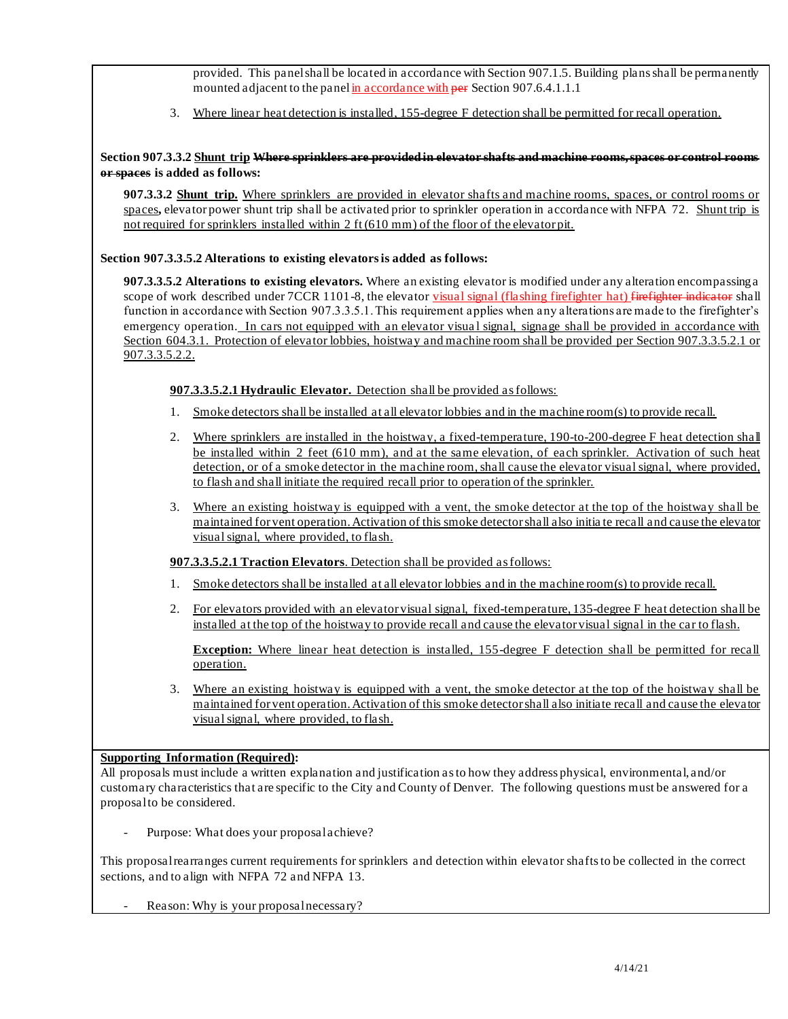provided. This panelshall be located in accordance with Section 907.1.5. Building plans shall be permanently mounted adjacent to the panel in accordance with per Section 907.6.4.1.1.1

3. Where linear heat detection is installed, 155-degree F detection shall be permitted for recall operation.

## **Section 907.3.3.2 Shunt trip Where sprinklers are provided in elevator shafts and machine rooms, spaces or control rooms or spaces is added as follows:**

 **907.3.3.2 Shunt trip.** Where sprinklers are provided in elevator shafts and machine rooms, spaces, or control rooms or spaces**,** elevator power shunt trip shall be activated prior to sprinkler operation in accordance with NFPA 72. Shunt trip is not required for sprinklers installed within 2 ft (610 mm) of the floor of the elevator pit.

## **Section 907.3.3.5.2 Alterations to existing elevators is added as follows:**

 **907.3.3.5.2 Alterations to existing elevators.** Where an existing elevator is modified under any alteration encompassinga scope of work described under 7CCR 1101-8, the elevator visual signal (flashing firefighter hat) firefighter indicator shall function in accordance with Section 907.3.3.5.1.This requirement applies when any alterations are made to the firefighter's emergency operation. In cars not equipped with an elevator visual signal, signage shall be provided in accordance with Section 604.3.1. Protection of elevator lobbies, hoistway and machine room shall be provided per Section 907.3.3.5.2.1 or 907.3.3.5.2.2.

## **907.3.3.5.2.1 Hydraulic Elevator.** Detection shall be provided as follows:

- 1. Smoke detectors shall be installed at all elevator lobbies and in the machine room(s) to provide recall.
- 2. Where sprinklers are installed in the hoistway, a fixed-temperature, 190-to-200-degree F heat detection shall be installed within 2 feet (610 mm), and at the same elevation, of each sprinkler. Activation of such heat detection, or of a smoke detector in the machine room, shall cause the elevator visual signal, where provided, to flash and shall initiate the required recall prior to operation of the sprinkler.
- 3. Where an existing hoistway is equipped with a vent, the smoke detector at the top of the hoistway shall be maintained for vent operation. Activation of this smoke detector shall also initia te recall and cause the elevator visual signal, where provided, to flash.

## **907.3.3.5.2.1 Traction Elevators**. Detection shall be provided as follows:

- 1. Smoke detectors shall be installed at all elevator lobbies and in the machine room(s) to provide recall.
- 2. For elevators provided with an elevator visual signal, fixed-temperature, 135-degree F heat detection shall be installed at the top of the hoistway to provide recall and cause the elevator visual signal in the car to flash.

**Exception:** Where linear heat detection is installed, 155-degree F detection shall be permitted for recall operation.

3. Where an existing hoistway is equipped with a vent, the smoke detector at the top of the hoistway shall be maintained for vent operation. Activation of this smoke detector shall also initiate recall and cause the elevator visual signal, where provided, to flash.

## **Supporting Information (Required):**

 All proposals must include a written explanation and justification as to how they address physical, environmental, and/or customary characteristics that are specific to the City and County of Denver. The following questions must be answered for a proposalto be considered.

- Purpose: What does your proposalachieve?

 This proposalrearranges current requirements for sprinklers and detection within elevator shafts to be collected in the correct sections, and to align with NFPA 72 and NFPA 13.

- Reason: Why is your proposal necessary?